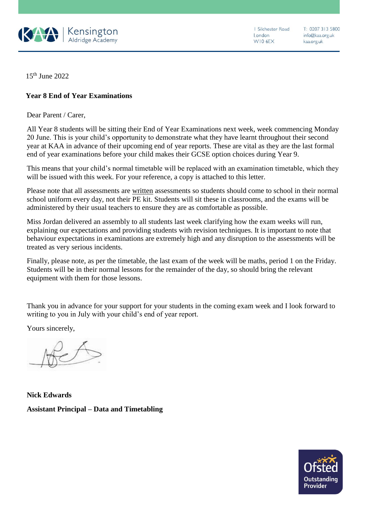

1 Silchester Road london WIO 6EX

T: 0207 313 5800 info@kaa.org.uk kaa.org.uk

15th June 2022

## **Year 8 End of Year Examinations**

Dear Parent / Carer,

All Year 8 students will be sitting their End of Year Examinations next week, week commencing Monday 20 June. This is your child's opportunity to demonstrate what they have learnt throughout their second year at KAA in advance of their upcoming end of year reports. These are vital as they are the last formal end of year examinations before your child makes their GCSE option choices during Year 9.

This means that your child's normal timetable will be replaced with an examination timetable, which they will be issued with this week. For your reference, a copy is attached to this letter.

Please note that all assessments are written assessments so students should come to school in their normal school uniform every day, not their PE kit. Students will sit these in classrooms, and the exams will be administered by their usual teachers to ensure they are as comfortable as possible.

Miss Jordan delivered an assembly to all students last week clarifying how the exam weeks will run, explaining our expectations and providing students with revision techniques. It is important to note that behaviour expectations in examinations are extremely high and any disruption to the assessments will be treated as very serious incidents.

Finally, please note, as per the timetable, the last exam of the week will be maths, period 1 on the Friday. Students will be in their normal lessons for the remainder of the day, so should bring the relevant equipment with them for those lessons.

Thank you in advance for your support for your students in the coming exam week and I look forward to writing to you in July with your child's end of year report.

Yours sincerely,

**Nick Edwards Assistant Principal – Data and Timetabling**